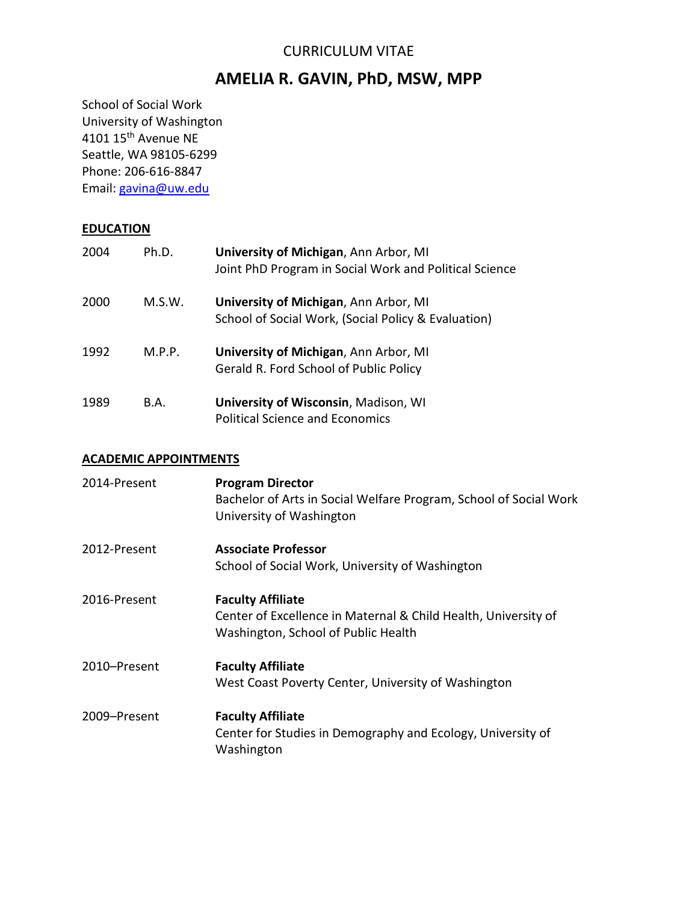# CURRICULUM VITAE

# **AMELIA R. GAVIN, PhD, MSW, MPP**

School of Social Work University of Washington 4101 15th Avenue NE Seattle, WA 98105-6299 Phone: 206-616-8847 Email: [gavina@uw.edu](mailto:gavina@uw.edu)

# **EDUCATION**

| 2004 | Ph.D.  | University of Michigan, Ann Arbor, MI<br>Joint PhD Program in Social Work and Political Science |
|------|--------|-------------------------------------------------------------------------------------------------|
| 2000 | M.S.W. | University of Michigan, Ann Arbor, MI<br>School of Social Work, (Social Policy & Evaluation)    |
| 1992 | M.P.P. | University of Michigan, Ann Arbor, MI<br>Gerald R. Ford School of Public Policy                 |
| 1989 | B.A.   | <b>University of Wisconsin, Madison, WI</b><br><b>Political Science and Economics</b>           |

# **ACADEMIC APPOINTMENTS**

| 2014-Present | <b>Program Director</b><br>Bachelor of Arts in Social Welfare Program, School of Social Work<br>University of Washington          |
|--------------|-----------------------------------------------------------------------------------------------------------------------------------|
| 2012-Present | <b>Associate Professor</b><br>School of Social Work, University of Washington                                                     |
| 2016-Present | <b>Faculty Affiliate</b><br>Center of Excellence in Maternal & Child Health, University of<br>Washington, School of Public Health |
| 2010-Present | <b>Faculty Affiliate</b><br>West Coast Poverty Center, University of Washington                                                   |
| 2009-Present | <b>Faculty Affiliate</b><br>Center for Studies in Demography and Ecology, University of<br>Washington                             |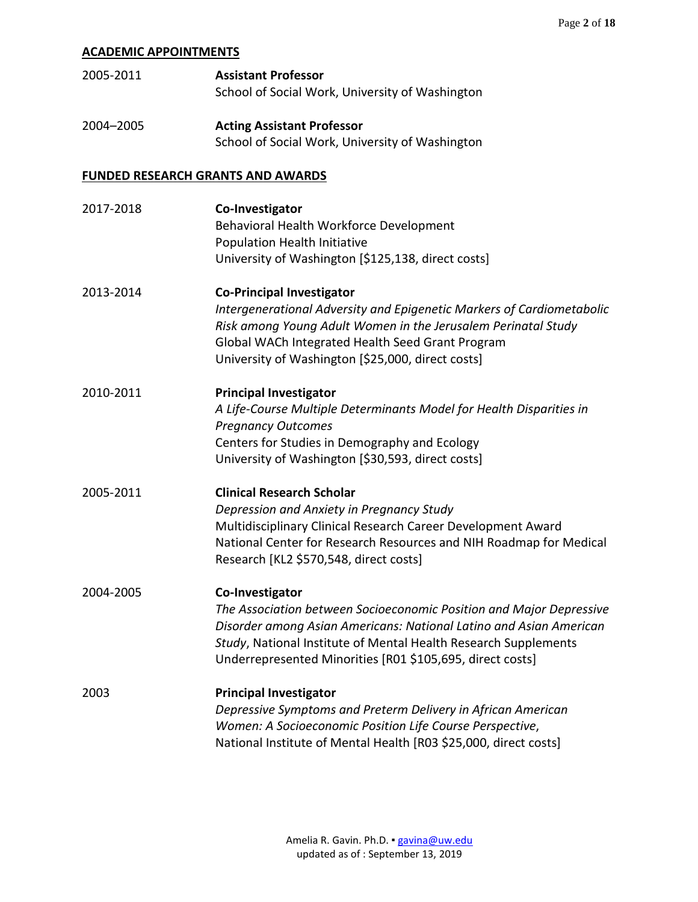## **ACADEMIC APPOINTMENTS**

| 2005-2011 | <b>Assistant Professor</b>                      |
|-----------|-------------------------------------------------|
|           | School of Social Work, University of Washington |
|           |                                                 |

2004–2005 **Acting Assistant Professor** School of Social Work, University of Washington

#### **FUNDED RESEARCH GRANTS AND AWARDS**

| 2017-2018 | Co-Investigator<br>Behavioral Health Workforce Development<br>Population Health Initiative<br>University of Washington [\$125,138, direct costs]                                                                                                                                             |
|-----------|----------------------------------------------------------------------------------------------------------------------------------------------------------------------------------------------------------------------------------------------------------------------------------------------|
| 2013-2014 | <b>Co-Principal Investigator</b><br>Intergenerational Adversity and Epigenetic Markers of Cardiometabolic<br>Risk among Young Adult Women in the Jerusalem Perinatal Study<br>Global WACh Integrated Health Seed Grant Program<br>University of Washington [\$25,000, direct costs]          |
| 2010-2011 | <b>Principal Investigator</b><br>A Life-Course Multiple Determinants Model for Health Disparities in<br><b>Pregnancy Outcomes</b><br>Centers for Studies in Demography and Ecology<br>University of Washington [\$30,593, direct costs]                                                      |
| 2005-2011 | <b>Clinical Research Scholar</b><br>Depression and Anxiety in Pregnancy Study<br>Multidisciplinary Clinical Research Career Development Award<br>National Center for Research Resources and NIH Roadmap for Medical<br>Research [KL2 \$570,548, direct costs]                                |
| 2004-2005 | Co-Investigator<br>The Association between Socioeconomic Position and Major Depressive<br>Disorder among Asian Americans: National Latino and Asian American<br>Study, National Institute of Mental Health Research Supplements<br>Underrepresented Minorities [R01 \$105,695, direct costs] |
| 2003      | <b>Principal Investigator</b><br>Depressive Symptoms and Preterm Delivery in African American<br>Women: A Socioeconomic Position Life Course Perspective,<br>National Institute of Mental Health [R03 \$25,000, direct costs]                                                                |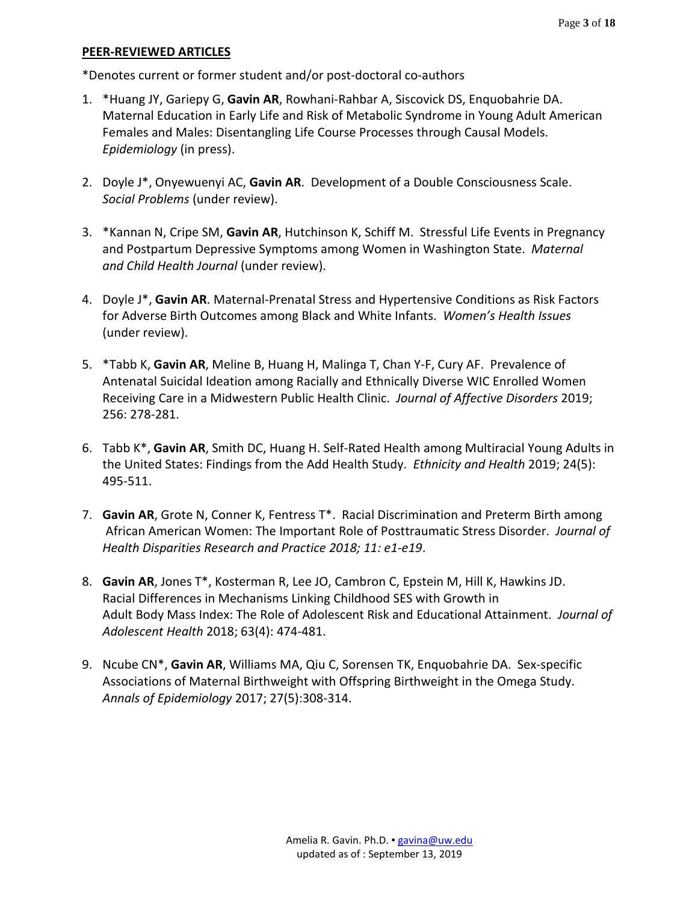\*Denotes current or former student and/or post-doctoral co-authors

- 1. \*Huang JY, Gariepy G, **Gavin AR**, Rowhani-Rahbar A, Siscovick DS, Enquobahrie DA. Maternal Education in Early Life and Risk of Metabolic Syndrome in Young Adult American Females and Males: Disentangling Life Course Processes through Causal Models. *Epidemiology* (in press).
- 2. Doyle J\*, Onyewuenyi AC, **Gavin AR**. Development of a Double Consciousness Scale. *Social Problems* (under review).
- 3. \*Kannan N, Cripe SM, **Gavin AR**, Hutchinson K, Schiff M. Stressful Life Events in Pregnancy and Postpartum Depressive Symptoms among Women in Washington State. *Maternal and Child Health Journal* (under review).
- 4. Doyle J\*, **Gavin AR**. Maternal-Prenatal Stress and Hypertensive Conditions as Risk Factors for Adverse Birth Outcomes among Black and White Infants. *Women's Health Issues* (under review).
- 5. \*Tabb K, **Gavin AR**, Meline B, Huang H, Malinga T, Chan Y-F, Cury AF. Prevalence of Antenatal Suicidal Ideation among Racially and Ethnically Diverse WIC Enrolled Women Receiving Care in a Midwestern Public Health Clinic. *Journal of Affective Disorders* 2019; 256: 278-281.
- 6. Tabb K\*, **Gavin AR**, Smith DC, Huang H. Self-Rated Health among Multiracial Young Adults in the United States: Findings from the Add Health Study. *Ethnicity and Health* 2019; 24(5): 495-511.
- 7. **Gavin AR**, Grote N, Conner K, Fentress T\*. Racial Discrimination and Preterm Birth among African American Women: The Important Role of Posttraumatic Stress Disorder. *Journal of Health Disparities Research and Practice 2018; 11: e1-e19*.
- 8. **Gavin AR**, Jones T\*, Kosterman R, Lee JO, Cambron C, Epstein M, Hill K, Hawkins JD. Racial Differences in Mechanisms Linking Childhood SES with Growth in Adult Body Mass Index: The Role of Adolescent Risk and Educational Attainment. *Journal of Adolescent Health* 2018; 63(4): 474-481.
- 9. Ncube CN\*, **Gavin AR**, Williams MA, Qiu C, Sorensen TK, Enquobahrie DA. Sex-specific Associations of Maternal Birthweight with Offspring Birthweight in the Omega Study. *Annals of Epidemiology* 2017; 27(5):308-314.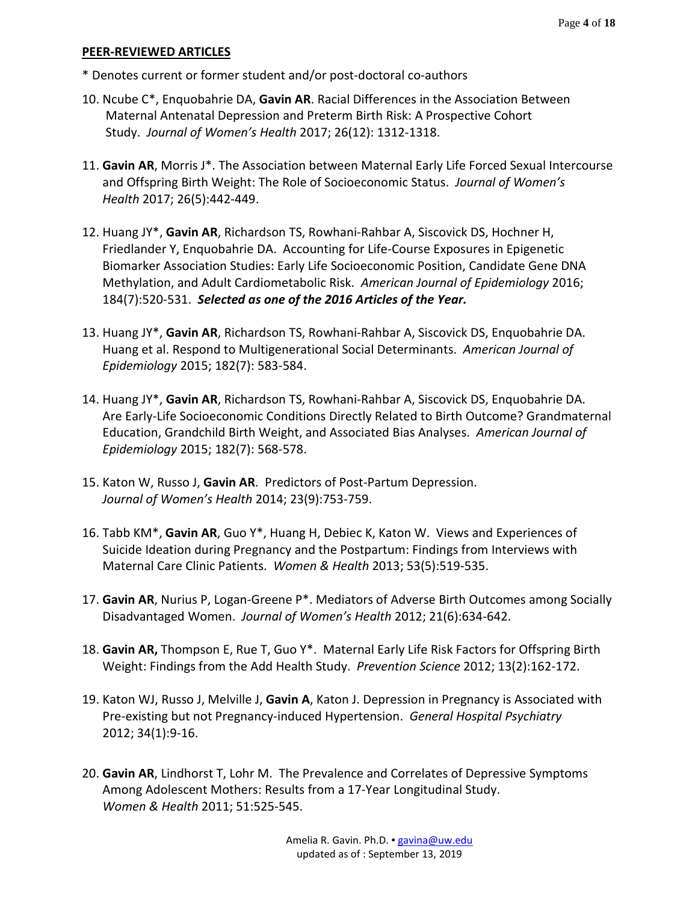\* Denotes current or former student and/or post-doctoral co-authors

- 10. Ncube C\*, Enquobahrie DA, **Gavin AR**. Racial Differences in the Association Between Maternal Antenatal Depression and Preterm Birth Risk: A Prospective Cohort Study. *Journal of Women's Health* 2017; 26(12): 1312-1318.
- 11. **Gavin AR**, Morris J\*. The Association between Maternal Early Life Forced Sexual Intercourse and Offspring Birth Weight: The Role of Socioeconomic Status. *Journal of Women's Health* 2017; 26(5):442-449.
- 12. Huang JY\*, **Gavin AR**, Richardson TS, Rowhani-Rahbar A, Siscovick DS, Hochner H, Friedlander Y, Enquobahrie DA. Accounting for Life-Course Exposures in Epigenetic Biomarker Association Studies: Early Life Socioeconomic Position, Candidate Gene DNA Methylation, and Adult Cardiometabolic Risk. *American Journal of Epidemiology* 2016; 184(7):520-531. *Selected as one of the 2016 Articles of the Year.*
- 13. Huang JY\*, **Gavin AR**, Richardson TS, Rowhani-Rahbar A, Siscovick DS, Enquobahrie DA. Huang et al. Respond to Multigenerational Social Determinants. *American Journal of Epidemiology* 2015; 182(7): 583-584.
- 14. Huang JY\*, **Gavin AR**, Richardson TS, Rowhani-Rahbar A, Siscovick DS, Enquobahrie DA. Are Early-Life Socioeconomic Conditions Directly Related to Birth Outcome? Grandmaternal Education, Grandchild Birth Weight, and Associated Bias Analyses. *American Journal of Epidemiology* 2015; 182(7): 568-578.
- 15. Katon W, Russo J, **Gavin AR**. Predictors of Post-Partum Depression. *Journal of Women's Health* 2014; 23(9):753-759.
- 16. Tabb KM\*, **Gavin AR**, Guo Y\*, Huang H, Debiec K, Katon W. Views and Experiences of Suicide Ideation during Pregnancy and the Postpartum: Findings from Interviews with Maternal Care Clinic Patients. *Women & Health* 2013; 53(5):519-535.
- 17. **Gavin AR**, Nurius P, Logan-Greene P\*. Mediators of Adverse Birth Outcomes among Socially Disadvantaged Women. *Journal of Women's Health* 2012; 21(6):634-642.
- 18. **Gavin AR,** Thompson E, Rue T, Guo Y\*. Maternal Early Life Risk Factors for Offspring Birth Weight: Findings from the Add Health Study. *Prevention Science* 2012; 13(2):162-172.
- 19. Katon WJ, Russo J, Melville J, **Gavin A**, Katon J. Depression in Pregnancy is Associated with Pre-existing but not Pregnancy-induced Hypertension. *General Hospital Psychiatry*  2012; 34(1):9-16.
- 20. **Gavin AR**, Lindhorst T, Lohr M. The Prevalence and Correlates of Depressive Symptoms Among Adolescent Mothers: Results from a 17-Year Longitudinal Study. *Women & Health* 2011; 51:525-545.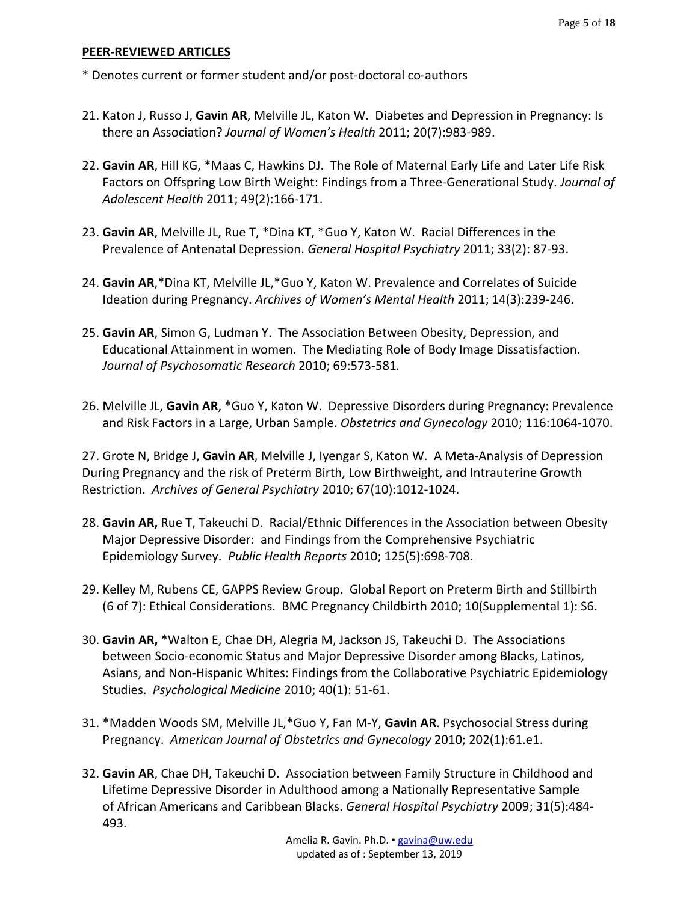\* Denotes current or former student and/or post-doctoral co-authors

- 21. Katon J, Russo J, **Gavin AR**, Melville JL, Katon W. Diabetes and Depression in Pregnancy: Is there an Association? *Journal of Women's Health* 2011; 20(7):983-989.
- 22. **Gavin AR**, Hill KG, \*Maas C, Hawkins DJ. The Role of Maternal Early Life and Later Life Risk Factors on Offspring Low Birth Weight: Findings from a Three-Generational Study. *Journal of Adolescent Health* 2011; 49(2):166-171.
- 23. **Gavin AR**, Melville JL, Rue T, \*Dina KT, \*Guo Y, Katon W. Racial Differences in the Prevalence of Antenatal Depression. *General Hospital Psychiatry* 2011; 33(2): 87-93.
- 24. **Gavin AR**,\*Dina KT, Melville JL,\*Guo Y, Katon W. Prevalence and Correlates of Suicide Ideation during Pregnancy. *Archives of Women's Mental Health* 2011; 14(3):239-246.
- 25. **Gavin AR**, Simon G, Ludman Y. The Association Between Obesity, Depression, and Educational Attainment in women. The Mediating Role of Body Image Dissatisfaction. *Journal of Psychosomatic Research* 2010; 69:573-581*.*
- 26. Melville JL, **Gavin AR**, \*Guo Y, Katon W. Depressive Disorders during Pregnancy: Prevalence and Risk Factors in a Large, Urban Sample. *Obstetrics and Gynecology* 2010; 116:1064-1070.

27. Grote N, Bridge J, **Gavin AR**, Melville J, Iyengar S, Katon W. A Meta-Analysis of Depression During Pregnancy and the risk of Preterm Birth, Low Birthweight, and Intrauterine Growth Restriction. *Archives of General Psychiatry* 2010; 67(10):1012-1024.

- 28. **Gavin AR,** Rue T, Takeuchi D. Racial/Ethnic Differences in the Association between Obesity Major Depressive Disorder: and Findings from the Comprehensive Psychiatric Epidemiology Survey. *Public Health Reports* 2010; 125(5):698-708.
- 29. Kelley M, Rubens CE, GAPPS Review Group. Global Report on Preterm Birth and Stillbirth (6 of 7): Ethical Considerations. BMC Pregnancy Childbirth 2010; 10(Supplemental 1): S6.
- 30. **Gavin AR,** \*Walton E, Chae DH, Alegria M, Jackson JS, Takeuchi D. The Associations between Socio-economic Status and Major Depressive Disorder among Blacks, Latinos, Asians, and Non-Hispanic Whites: Findings from the Collaborative Psychiatric Epidemiology Studies. *Psychological Medicine* 2010; 40(1): 51-61.
- 31. \*Madden Woods SM, Melville JL,\*Guo Y, Fan M-Y, **Gavin AR**. Psychosocial Stress during Pregnancy. *American Journal of Obstetrics and Gynecology* 2010; 202(1):61.e1.
- 32. **Gavin AR**, Chae DH, Takeuchi D. Association between Family Structure in Childhood and Lifetime Depressive Disorder in Adulthood among a Nationally Representative Sample of African Americans and Caribbean Blacks. *General Hospital Psychiatry* 2009; 31(5):484- 493.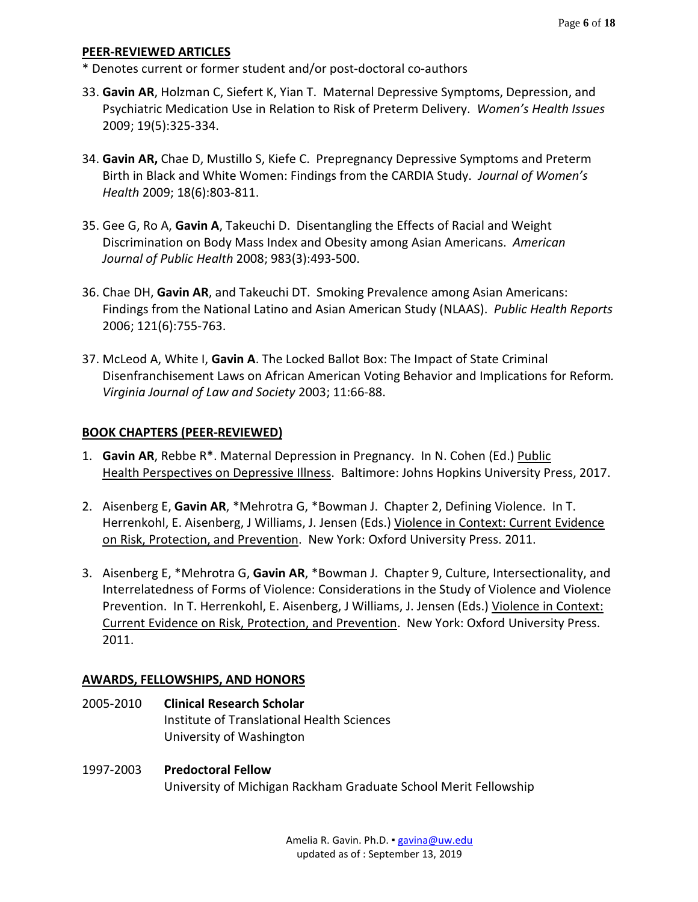- \* Denotes current or former student and/or post-doctoral co-authors
- 33. **Gavin AR**, Holzman C, Siefert K, Yian T. Maternal Depressive Symptoms, Depression, and Psychiatric Medication Use in Relation to Risk of Preterm Delivery. *Women's Health Issues* 2009; 19(5):325-334.
- 34. **Gavin AR,** Chae D, Mustillo S, Kiefe C. Prepregnancy Depressive Symptoms and Preterm Birth in Black and White Women: Findings from the CARDIA Study. *Journal of Women's Health* 2009; 18(6):803-811.
- 35. Gee G, Ro A, **Gavin A**, Takeuchi D. Disentangling the Effects of Racial and Weight Discrimination on Body Mass Index and Obesity among Asian Americans. *American Journal of Public Health* 2008; 983(3):493-500.
- 36. Chae DH, **Gavin AR**, and Takeuchi DT. Smoking Prevalence among Asian Americans: Findings from the National Latino and Asian American Study (NLAAS). *Public Health Reports* 2006; 121(6):755-763.
- 37. McLeod A, White I, **Gavin A**. The Locked Ballot Box: The Impact of State Criminal Disenfranchisement Laws on African American Voting Behavior and Implications for Reform*. Virginia Journal of Law and Society* 2003; 11:66-88.

### **BOOK CHAPTERS (PEER-REVIEWED)**

- 1. **Gavin AR**, Rebbe R\*. Maternal Depression in Pregnancy. In N. Cohen (Ed.) Public Health Perspectives on Depressive Illness. Baltimore: Johns Hopkins University Press, 2017.
- 2. Aisenberg E, **Gavin AR**, \*Mehrotra G, \*Bowman J. Chapter 2, Defining Violence. In T. Herrenkohl, E. Aisenberg, J Williams, J. Jensen (Eds.) Violence in Context: Current Evidence on Risk, Protection, and Prevention. New York: Oxford University Press. 2011.
- 3. Aisenberg E, \*Mehrotra G, **Gavin AR**, \*Bowman J. Chapter 9, Culture, Intersectionality, and Interrelatedness of Forms of Violence: Considerations in the Study of Violence and Violence Prevention. In T. Herrenkohl, E. Aisenberg, J Williams, J. Jensen (Eds.) Violence in Context: Current Evidence on Risk, Protection, and Prevention. New York: Oxford University Press. 2011.

### **AWARDS, FELLOWSHIPS, AND HONORS**

- 2005-2010 **Clinical Research Scholar** Institute of Translational Health Sciences University of Washington
- 1997-2003 **Predoctoral Fellow** University of Michigan Rackham Graduate School Merit Fellowship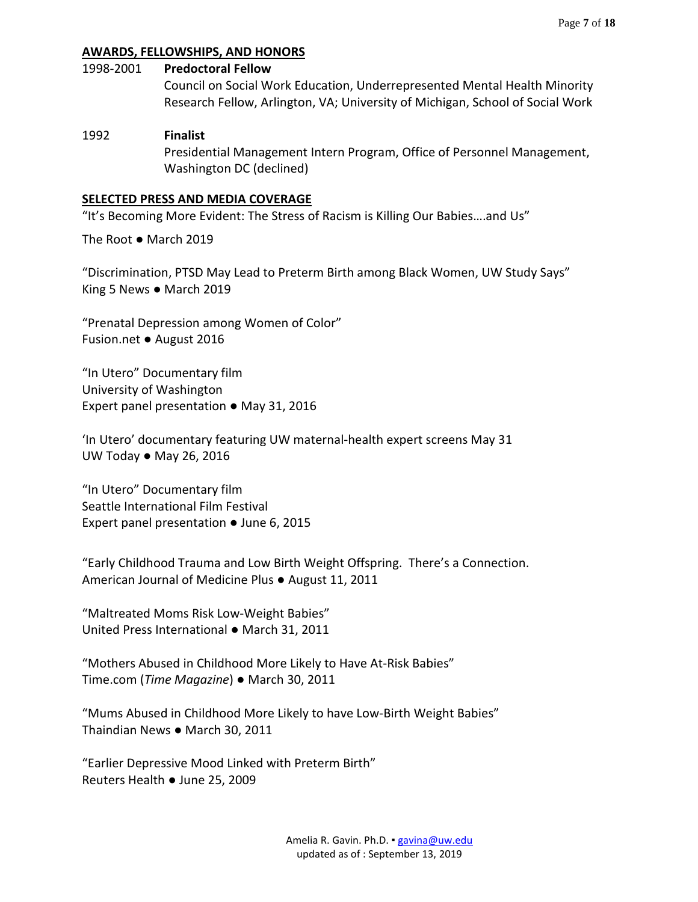# **AWARDS, FELLOWSHIPS, AND HONORS**

#### 1998-2001 **Predoctoral Fellow**

Council on Social Work Education, Underrepresented Mental Health Minority Research Fellow, Arlington, VA; University of Michigan, School of Social Work

### 1992 **Finalist**

Presidential Management Intern Program, Office of Personnel Management, Washington DC (declined)

#### **SELECTED PRESS AND MEDIA COVERAGE**

"It's Becoming More Evident: The Stress of Racism is Killing Our Babies….and Us"

The Root ● March 2019

"Discrimination, PTSD May Lead to Preterm Birth among Black Women, UW Study Says" King 5 News ● March 2019

"Prenatal Depression among Women of Color" Fusion.net ● August 2016

"In Utero" Documentary film University of Washington Expert panel presentation ● May 31, 2016

'In Utero' documentary featuring UW maternal-health expert screens May 31 UW Today ● May 26, 2016

"In Utero" Documentary film Seattle International Film Festival Expert panel presentation ● June 6, 2015

"Early Childhood Trauma and Low Birth Weight Offspring. There's a Connection. American Journal of Medicine Plus ● August 11, 2011

"Maltreated Moms Risk Low-Weight Babies" United Press International ● March 31, 2011

"Mothers Abused in Childhood More Likely to Have At-Risk Babies" Time.com (*Time Magazine*) ● March 30, 2011

"Mums Abused in Childhood More Likely to have Low-Birth Weight Babies" Thaindian News ● March 30, 2011

"Earlier Depressive Mood Linked with Preterm Birth" Reuters Health ● June 25, 2009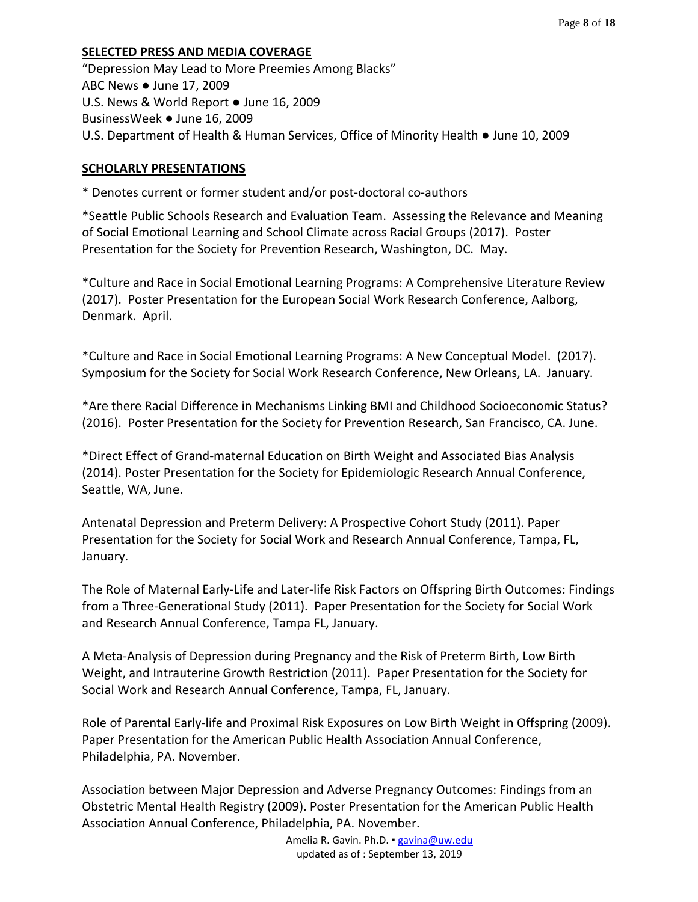# **SELECTED PRESS AND MEDIA COVERAGE**

"Depression May Lead to More Preemies Among Blacks" ABC News ● June 17, 2009 U.S. News & World Report ● June 16, 2009 BusinessWeek ● June 16, 2009 U.S. Department of Health & Human Services, Office of Minority Health ● June 10, 2009

### **SCHOLARLY PRESENTATIONS**

\* Denotes current or former student and/or post-doctoral co-authors

\*Seattle Public Schools Research and Evaluation Team. Assessing the Relevance and Meaning of Social Emotional Learning and School Climate across Racial Groups (2017). Poster Presentation for the Society for Prevention Research, Washington, DC. May.

\*Culture and Race in Social Emotional Learning Programs: A Comprehensive Literature Review (2017). Poster Presentation for the European Social Work Research Conference, Aalborg, Denmark. April.

\*Culture and Race in Social Emotional Learning Programs: A New Conceptual Model. (2017). Symposium for the Society for Social Work Research Conference, New Orleans, LA. January.

\*Are there Racial Difference in Mechanisms Linking BMI and Childhood Socioeconomic Status? (2016). Poster Presentation for the Society for Prevention Research, San Francisco, CA. June.

\*Direct Effect of Grand-maternal Education on Birth Weight and Associated Bias Analysis (2014). Poster Presentation for the Society for Epidemiologic Research Annual Conference, Seattle, WA, June.

Antenatal Depression and Preterm Delivery: A Prospective Cohort Study (2011). Paper Presentation for the Society for Social Work and Research Annual Conference, Tampa, FL, January.

The Role of Maternal Early-Life and Later-life Risk Factors on Offspring Birth Outcomes: Findings from a Three-Generational Study (2011). Paper Presentation for the Society for Social Work and Research Annual Conference, Tampa FL, January.

A Meta-Analysis of Depression during Pregnancy and the Risk of Preterm Birth, Low Birth Weight, and Intrauterine Growth Restriction (2011). Paper Presentation for the Society for Social Work and Research Annual Conference, Tampa, FL, January.

Role of Parental Early-life and Proximal Risk Exposures on Low Birth Weight in Offspring (2009). Paper Presentation for the American Public Health Association Annual Conference, Philadelphia, PA. November.

Association between Major Depression and Adverse Pregnancy Outcomes: Findings from an Obstetric Mental Health Registry (2009). Poster Presentation for the American Public Health Association Annual Conference, Philadelphia, PA. November.

> Amelia R. Gavin. Ph.D. · [gavina@uw.edu](mailto:gavina@uw.edu) updated as of : September 13, 2019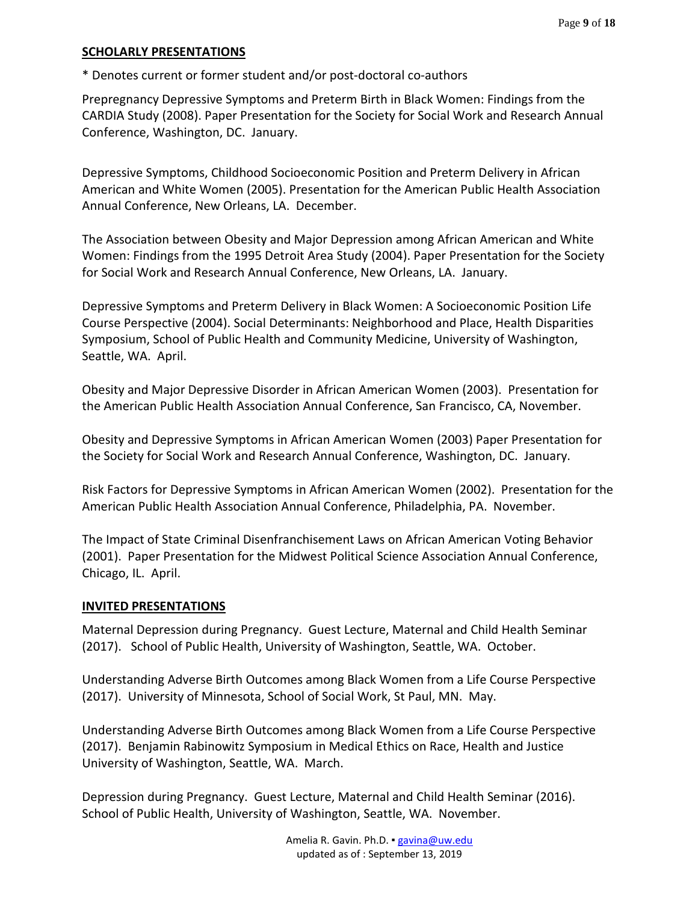#### **SCHOLARLY PRESENTATIONS**

\* Denotes current or former student and/or post-doctoral co-authors

Prepregnancy Depressive Symptoms and Preterm Birth in Black Women: Findings from the CARDIA Study (2008). Paper Presentation for the Society for Social Work and Research Annual Conference, Washington, DC. January.

Depressive Symptoms, Childhood Socioeconomic Position and Preterm Delivery in African American and White Women (2005). Presentation for the American Public Health Association Annual Conference, New Orleans, LA. December.

The Association between Obesity and Major Depression among African American and White Women: Findings from the 1995 Detroit Area Study (2004). Paper Presentation for the Society for Social Work and Research Annual Conference, New Orleans, LA. January.

Depressive Symptoms and Preterm Delivery in Black Women: A Socioeconomic Position Life Course Perspective (2004). Social Determinants: Neighborhood and Place, Health Disparities Symposium, School of Public Health and Community Medicine, University of Washington, Seattle, WA. April.

Obesity and Major Depressive Disorder in African American Women (2003). Presentation for the American Public Health Association Annual Conference, San Francisco, CA, November.

Obesity and Depressive Symptoms in African American Women (2003) Paper Presentation for the Society for Social Work and Research Annual Conference, Washington, DC. January.

Risk Factors for Depressive Symptoms in African American Women (2002). Presentation for the American Public Health Association Annual Conference, Philadelphia, PA. November.

The Impact of State Criminal Disenfranchisement Laws on African American Voting Behavior (2001). Paper Presentation for the Midwest Political Science Association Annual Conference, Chicago, IL. April.

### **INVITED PRESENTATIONS**

Maternal Depression during Pregnancy. Guest Lecture, Maternal and Child Health Seminar (2017). School of Public Health, University of Washington, Seattle, WA. October.

Understanding Adverse Birth Outcomes among Black Women from a Life Course Perspective (2017). University of Minnesota, School of Social Work, St Paul, MN. May.

Understanding Adverse Birth Outcomes among Black Women from a Life Course Perspective (2017). Benjamin Rabinowitz Symposium in Medical Ethics on Race, Health and Justice University of Washington, Seattle, WA. March.

Depression during Pregnancy. Guest Lecture, Maternal and Child Health Seminar (2016). School of Public Health, University of Washington, Seattle, WA. November.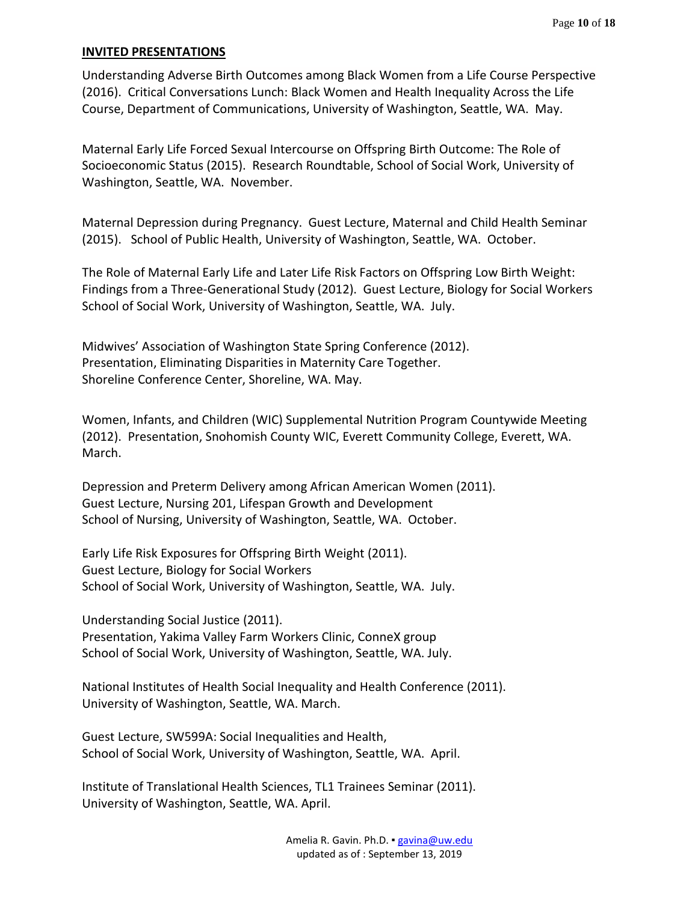#### **INVITED PRESENTATIONS**

Understanding Adverse Birth Outcomes among Black Women from a Life Course Perspective (2016). Critical Conversations Lunch: Black Women and Health Inequality Across the Life Course, Department of Communications, University of Washington, Seattle, WA. May.

Maternal Early Life Forced Sexual Intercourse on Offspring Birth Outcome: The Role of Socioeconomic Status (2015). Research Roundtable, School of Social Work, University of Washington, Seattle, WA. November.

Maternal Depression during Pregnancy. Guest Lecture, Maternal and Child Health Seminar (2015). School of Public Health, University of Washington, Seattle, WA. October.

The Role of Maternal Early Life and Later Life Risk Factors on Offspring Low Birth Weight: Findings from a Three-Generational Study (2012). Guest Lecture, Biology for Social Workers School of Social Work, University of Washington, Seattle, WA. July.

Midwives' Association of Washington State Spring Conference (2012). Presentation, Eliminating Disparities in Maternity Care Together. Shoreline Conference Center, Shoreline, WA. May.

Women, Infants, and Children (WIC) Supplemental Nutrition Program Countywide Meeting (2012). Presentation, Snohomish County WIC, Everett Community College, Everett, WA. March.

Depression and Preterm Delivery among African American Women (2011). Guest Lecture, Nursing 201, Lifespan Growth and Development School of Nursing, University of Washington, Seattle, WA. October.

Early Life Risk Exposures for Offspring Birth Weight (2011). Guest Lecture, Biology for Social Workers School of Social Work, University of Washington, Seattle, WA. July.

Understanding Social Justice (2011).

Presentation, Yakima Valley Farm Workers Clinic, ConneX group School of Social Work, University of Washington, Seattle, WA. July.

National Institutes of Health Social Inequality and Health Conference (2011). University of Washington, Seattle, WA. March.

Guest Lecture, SW599A: Social Inequalities and Health, School of Social Work, University of Washington, Seattle, WA. April.

Institute of Translational Health Sciences, TL1 Trainees Seminar (2011). University of Washington, Seattle, WA. April.

> Amelia R. Gavin. Ph.D. · [gavina@uw.edu](mailto:gavina@uw.edu) updated as of : September 13, 2019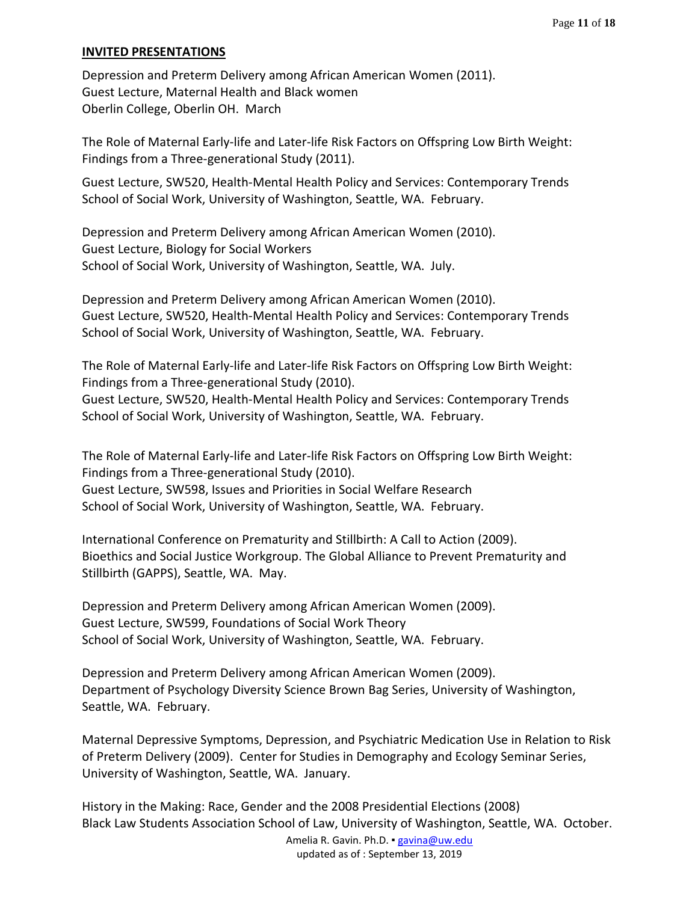### **INVITED PRESENTATIONS**

Depression and Preterm Delivery among African American Women (2011). Guest Lecture, Maternal Health and Black women Oberlin College, Oberlin OH. March

The Role of Maternal Early-life and Later-life Risk Factors on Offspring Low Birth Weight: Findings from a Three-generational Study (2011).

Guest Lecture, SW520, Health-Mental Health Policy and Services: Contemporary Trends School of Social Work, University of Washington, Seattle, WA. February.

Depression and Preterm Delivery among African American Women (2010). Guest Lecture, Biology for Social Workers School of Social Work, University of Washington, Seattle, WA. July.

Depression and Preterm Delivery among African American Women (2010). Guest Lecture, SW520, Health-Mental Health Policy and Services: Contemporary Trends School of Social Work, University of Washington, Seattle, WA. February.

The Role of Maternal Early-life and Later-life Risk Factors on Offspring Low Birth Weight: Findings from a Three-generational Study (2010).

Guest Lecture, SW520, Health-Mental Health Policy and Services: Contemporary Trends School of Social Work, University of Washington, Seattle, WA. February.

The Role of Maternal Early-life and Later-life Risk Factors on Offspring Low Birth Weight: Findings from a Three-generational Study (2010). Guest Lecture, SW598, Issues and Priorities in Social Welfare Research School of Social Work, University of Washington, Seattle, WA. February.

International Conference on Prematurity and Stillbirth: A Call to Action (2009). Bioethics and Social Justice Workgroup. The Global Alliance to Prevent Prematurity and Stillbirth (GAPPS), Seattle, WA. May.

Depression and Preterm Delivery among African American Women (2009). Guest Lecture, SW599, Foundations of Social Work Theory School of Social Work, University of Washington, Seattle, WA. February.

Depression and Preterm Delivery among African American Women (2009). Department of Psychology Diversity Science Brown Bag Series, University of Washington, Seattle, WA. February.

Maternal Depressive Symptoms, Depression, and Psychiatric Medication Use in Relation to Risk of Preterm Delivery (2009). Center for Studies in Demography and Ecology Seminar Series, University of Washington, Seattle, WA. January.

History in the Making: Race, Gender and the 2008 Presidential Elections (2008) Black Law Students Association School of Law, University of Washington, Seattle, WA. October.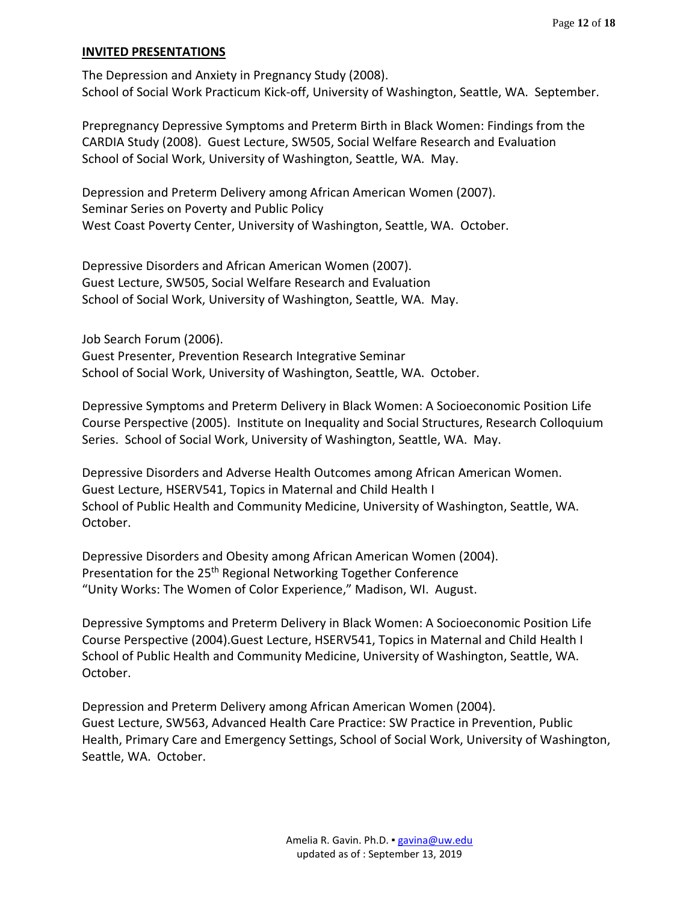#### **INVITED PRESENTATIONS**

The Depression and Anxiety in Pregnancy Study (2008). School of Social Work Practicum Kick-off, University of Washington, Seattle, WA. September.

Prepregnancy Depressive Symptoms and Preterm Birth in Black Women: Findings from the CARDIA Study (2008). Guest Lecture, SW505, Social Welfare Research and Evaluation School of Social Work, University of Washington, Seattle, WA. May.

Depression and Preterm Delivery among African American Women (2007). Seminar Series on Poverty and Public Policy West Coast Poverty Center, University of Washington, Seattle, WA. October.

Depressive Disorders and African American Women (2007). Guest Lecture, SW505, Social Welfare Research and Evaluation School of Social Work, University of Washington, Seattle, WA. May.

Job Search Forum (2006). Guest Presenter, Prevention Research Integrative Seminar School of Social Work, University of Washington, Seattle, WA. October.

Depressive Symptoms and Preterm Delivery in Black Women: A Socioeconomic Position Life Course Perspective (2005). Institute on Inequality and Social Structures, Research Colloquium Series. School of Social Work, University of Washington, Seattle, WA. May.

Depressive Disorders and Adverse Health Outcomes among African American Women. Guest Lecture, HSERV541, Topics in Maternal and Child Health I School of Public Health and Community Medicine, University of Washington, Seattle, WA. October.

Depressive Disorders and Obesity among African American Women (2004). Presentation for the 25<sup>th</sup> Regional Networking Together Conference "Unity Works: The Women of Color Experience," Madison, WI. August.

Depressive Symptoms and Preterm Delivery in Black Women: A Socioeconomic Position Life Course Perspective (2004).Guest Lecture, HSERV541, Topics in Maternal and Child Health I School of Public Health and Community Medicine, University of Washington, Seattle, WA. October.

Depression and Preterm Delivery among African American Women (2004). Guest Lecture, SW563, Advanced Health Care Practice: SW Practice in Prevention, Public Health, Primary Care and Emergency Settings, School of Social Work, University of Washington, Seattle, WA. October.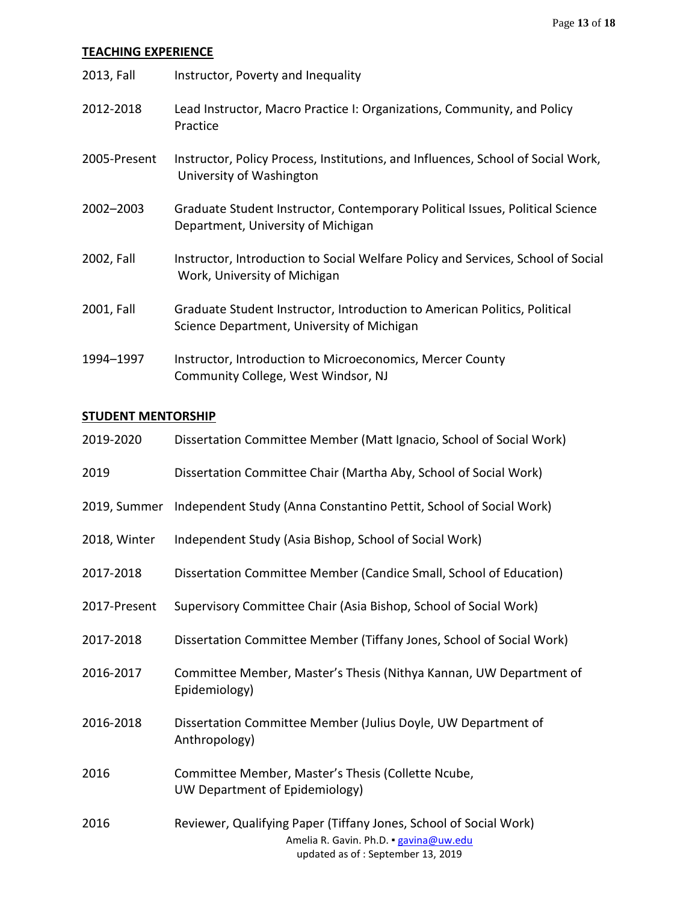# **TEACHING EXPERIENCE**

| 2013, Fall   | Instructor, Poverty and Inequality                                                                                      |
|--------------|-------------------------------------------------------------------------------------------------------------------------|
| 2012-2018    | Lead Instructor, Macro Practice I: Organizations, Community, and Policy<br>Practice                                     |
| 2005-Present | Instructor, Policy Process, Institutions, and Influences, School of Social Work,<br>University of Washington            |
| 2002-2003    | Graduate Student Instructor, Contemporary Political Issues, Political Science<br>Department, University of Michigan     |
| 2002, Fall   | Instructor, Introduction to Social Welfare Policy and Services, School of Social<br>Work, University of Michigan        |
| 2001, Fall   | Graduate Student Instructor, Introduction to American Politics, Political<br>Science Department, University of Michigan |
| 1994-1997    | Instructor, Introduction to Microeconomics, Mercer County<br>Community College, West Windsor, NJ                        |

## **STUDENT MENTORSHIP**

| 2019-2020    | Dissertation Committee Member (Matt Ignacio, School of Social Work)                                                                              |
|--------------|--------------------------------------------------------------------------------------------------------------------------------------------------|
| 2019         | Dissertation Committee Chair (Martha Aby, School of Social Work)                                                                                 |
| 2019, Summer | Independent Study (Anna Constantino Pettit, School of Social Work)                                                                               |
| 2018, Winter | Independent Study (Asia Bishop, School of Social Work)                                                                                           |
| 2017-2018    | Dissertation Committee Member (Candice Small, School of Education)                                                                               |
| 2017-Present | Supervisory Committee Chair (Asia Bishop, School of Social Work)                                                                                 |
| 2017-2018    | Dissertation Committee Member (Tiffany Jones, School of Social Work)                                                                             |
| 2016-2017    | Committee Member, Master's Thesis (Nithya Kannan, UW Department of<br>Epidemiology)                                                              |
| 2016-2018    | Dissertation Committee Member (Julius Doyle, UW Department of<br>Anthropology)                                                                   |
| 2016         | Committee Member, Master's Thesis (Collette Ncube,<br>UW Department of Epidemiology)                                                             |
| 2016         | Reviewer, Qualifying Paper (Tiffany Jones, School of Social Work)<br>Amelia R. Gavin. Ph.D. · gavina@uw.edu<br>updated as of: September 13, 2019 |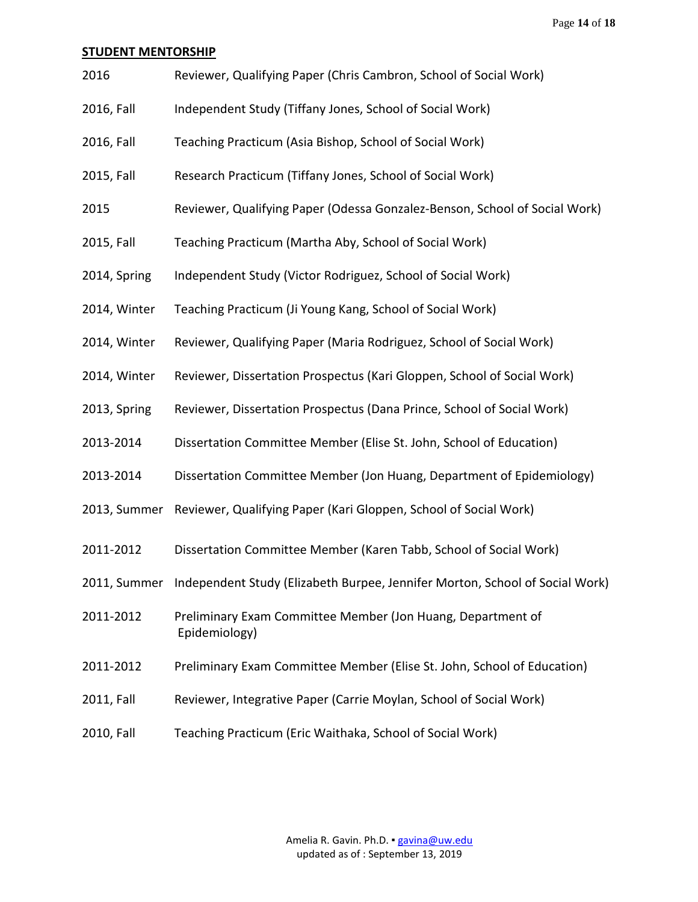Page **14** of **18**

#### **STUDENT MENTORSHIP**

- 2016 Reviewer, Qualifying Paper (Chris Cambron, School of Social Work)
- 2016, Fall Independent Study (Tiffany Jones, School of Social Work)
- 2016, Fall Teaching Practicum (Asia Bishop, School of Social Work)
- 2015, Fall Research Practicum (Tiffany Jones, School of Social Work)
- 2015 Reviewer, Qualifying Paper (Odessa Gonzalez-Benson, School of Social Work)
- 2015, Fall Teaching Practicum (Martha Aby, School of Social Work)
- 2014, Spring Independent Study (Victor Rodriguez, School of Social Work)
- 2014, Winter Teaching Practicum (Ji Young Kang, School of Social Work)
- 2014, Winter Reviewer, Qualifying Paper (Maria Rodriguez, School of Social Work)
- 2014, Winter Reviewer, Dissertation Prospectus (Kari Gloppen, School of Social Work)
- 2013, Spring Reviewer, Dissertation Prospectus (Dana Prince, School of Social Work)
- 2013-2014 Dissertation Committee Member (Elise St. John, School of Education)
- 2013-2014 Dissertation Committee Member (Jon Huang, Department of Epidemiology)
- 2013, Summer Reviewer, Qualifying Paper (Kari Gloppen, School of Social Work)
- 2011-2012 Dissertation Committee Member (Karen Tabb, School of Social Work)
- 2011, Summer Independent Study (Elizabeth Burpee, Jennifer Morton, School of Social Work)
- 2011-2012 Preliminary Exam Committee Member (Jon Huang, Department of Epidemiology)
- 2011-2012 Preliminary Exam Committee Member (Elise St. John, School of Education)
- 2011, Fall Reviewer, Integrative Paper (Carrie Moylan, School of Social Work)
- 2010, Fall Teaching Practicum (Eric Waithaka, School of Social Work)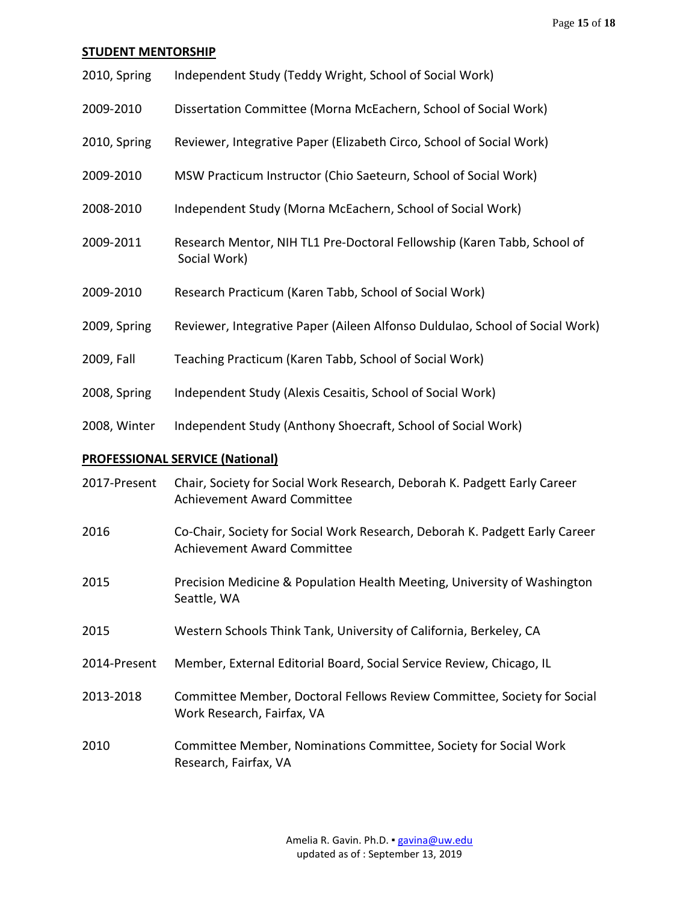#### **STUDENT MENTORSHIP**

| 2010, Spring | Independent Study (Teddy Wright, School of Social Work) |
|--------------|---------------------------------------------------------|
|--------------|---------------------------------------------------------|

- 2009-2010 Dissertation Committee (Morna McEachern, School of Social Work)
- 2010, Spring Reviewer, Integrative Paper (Elizabeth Circo, School of Social Work)
- 2009-2010 MSW Practicum Instructor (Chio Saeteurn, School of Social Work)
- 2008-2010 Independent Study (Morna McEachern, School of Social Work)
- 2009-2011 Research Mentor, NIH TL1 Pre-Doctoral Fellowship (Karen Tabb, School of Social Work)
- 2009-2010 Research Practicum (Karen Tabb, School of Social Work)
- 2009, Spring Reviewer, Integrative Paper (Aileen Alfonso Duldulao, School of Social Work)
- 2009, Fall Teaching Practicum (Karen Tabb, School of Social Work)
- 2008, Spring Independent Study (Alexis Cesaitis, School of Social Work)
- 2008, Winter Independent Study (Anthony Shoecraft, School of Social Work)

### **PROFESSIONAL SERVICE (National)**

| 2017-Present | Chair, Society for Social Work Research, Deborah K. Padgett Early Career<br><b>Achievement Award Committee</b>    |
|--------------|-------------------------------------------------------------------------------------------------------------------|
| 2016         | Co-Chair, Society for Social Work Research, Deborah K. Padgett Early Career<br><b>Achievement Award Committee</b> |
| 2015         | Precision Medicine & Population Health Meeting, University of Washington<br>Seattle, WA                           |
| 2015         | Western Schools Think Tank, University of California, Berkeley, CA                                                |
| 2014-Present | Member, External Editorial Board, Social Service Review, Chicago, IL                                              |
| 2013-2018    | Committee Member, Doctoral Fellows Review Committee, Society for Social<br>Work Research, Fairfax, VA             |
| 2010         | Committee Member, Nominations Committee, Society for Social Work<br>Research, Fairfax, VA                         |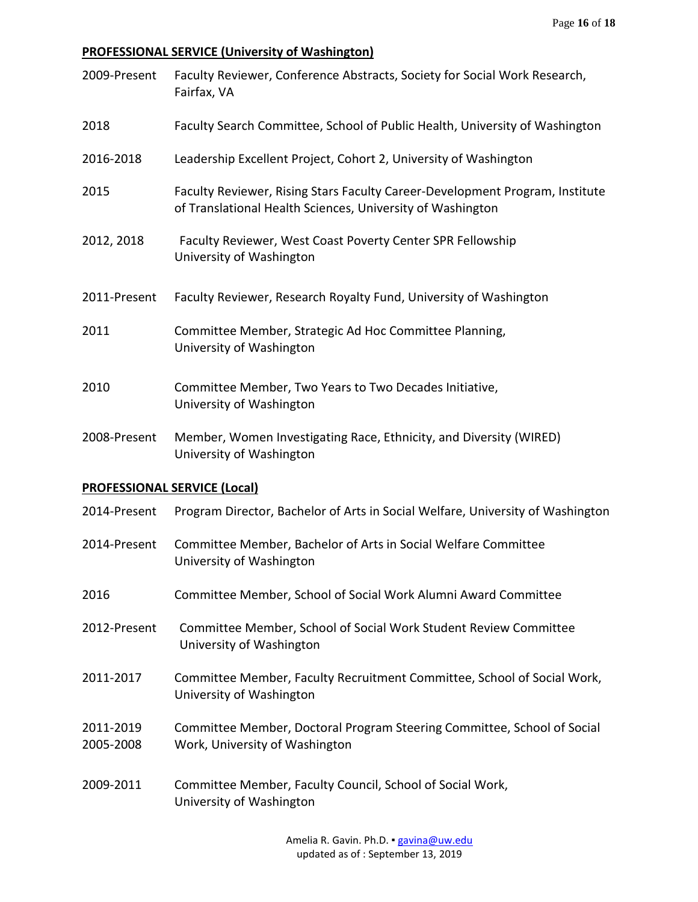# **PROFESSIONAL SERVICE (University of Washington)**

| 2009-Present                        | Faculty Reviewer, Conference Abstracts, Society for Social Work Research,<br>Fairfax, VA                                                   |
|-------------------------------------|--------------------------------------------------------------------------------------------------------------------------------------------|
| 2018                                | Faculty Search Committee, School of Public Health, University of Washington                                                                |
| 2016-2018                           | Leadership Excellent Project, Cohort 2, University of Washington                                                                           |
| 2015                                | Faculty Reviewer, Rising Stars Faculty Career-Development Program, Institute<br>of Translational Health Sciences, University of Washington |
| 2012, 2018                          | Faculty Reviewer, West Coast Poverty Center SPR Fellowship<br>University of Washington                                                     |
| 2011-Present                        | Faculty Reviewer, Research Royalty Fund, University of Washington                                                                          |
| 2011                                | Committee Member, Strategic Ad Hoc Committee Planning,<br>University of Washington                                                         |
| 2010                                | Committee Member, Two Years to Two Decades Initiative,<br>University of Washington                                                         |
| 2008-Present                        | Member, Women Investigating Race, Ethnicity, and Diversity (WIRED)<br>University of Washington                                             |
| <b>PROFESSIONAL SERVICE (Local)</b> |                                                                                                                                            |
| 2014-Present                        | Program Director, Bachelor of Arts in Social Welfare, University of Washington                                                             |
| 2014-Present                        | Committee Member, Bachelor of Arts in Social Welfare Committee<br>University of Washington                                                 |
| 2016                                | Committee Member, School of Social Work Alumni Award Committee                                                                             |
| 2012-Present                        | Committee Member, School of Social Work Student Review Committee<br>University of Washington                                               |
| 2011-2017                           | Committee Member, Faculty Recruitment Committee, School of Social Work,<br>University of Washington                                        |
| 2011-2019<br>2005-2008              | Committee Member, Doctoral Program Steering Committee, School of Social<br>Work, University of Washington                                  |
| 2009-2011                           | Committee Member, Faculty Council, School of Social Work,                                                                                  |

University of Washington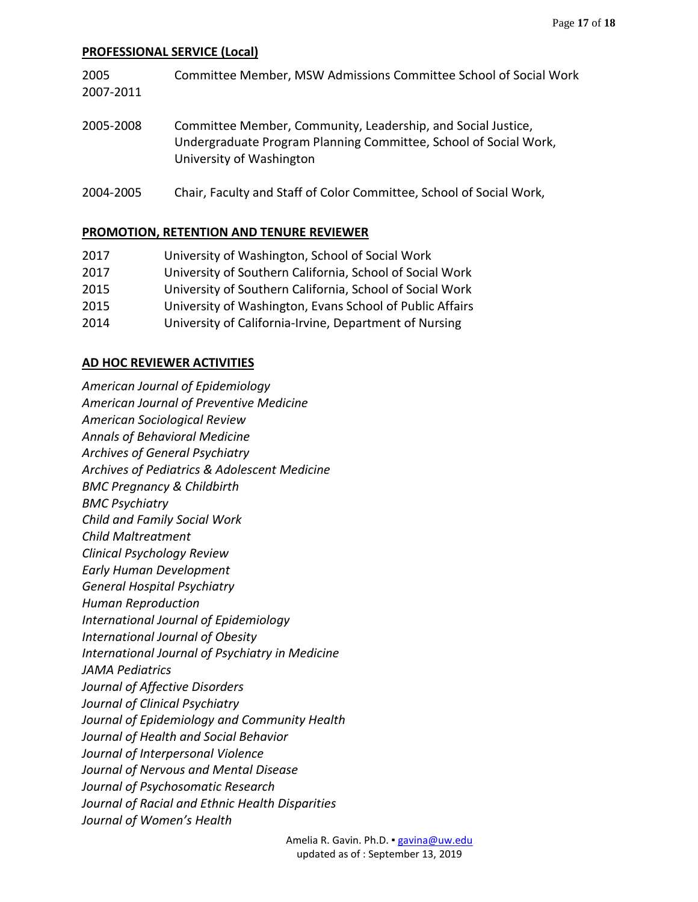# **PROFESSIONAL SERVICE (Local)**

| 2005<br>2007-2011 | Committee Member, MSW Admissions Committee School of Social Work                                                                                             |
|-------------------|--------------------------------------------------------------------------------------------------------------------------------------------------------------|
| 2005-2008         | Committee Member, Community, Leadership, and Social Justice,<br>Undergraduate Program Planning Committee, School of Social Work,<br>University of Washington |
| 2004-2005         | Chair, Faculty and Staff of Color Committee, School of Social Work,                                                                                          |

#### **PROMOTION, RETENTION AND TENURE REVIEWER**

| 2017 | University of Washington, School of Social Work          |
|------|----------------------------------------------------------|
| 2017 | University of Southern California, School of Social Work |
| 2015 | University of Southern California, School of Social Work |
| 2015 | University of Washington, Evans School of Public Affairs |
| 2014 | University of California-Irvine, Department of Nursing   |

## **AD HOC REVIEWER ACTIVITIES**

| American Journal of Epidemiology                        |
|---------------------------------------------------------|
| <b>American Journal of Preventive Medicine</b>          |
| American Sociological Review                            |
| <b>Annals of Behavioral Medicine</b>                    |
| Archives of General Psychiatry                          |
| <b>Archives of Pediatrics &amp; Adolescent Medicine</b> |
| <b>BMC Pregnancy &amp; Childbirth</b>                   |
| <b>BMC Psychiatry</b>                                   |
| Child and Family Social Work                            |
| <b>Child Maltreatment</b>                               |
| Clinical Psychology Review                              |
| <b>Early Human Development</b>                          |
| <b>General Hospital Psychiatry</b>                      |
| <b>Human Reproduction</b>                               |
| <b>International Journal of Epidemiology</b>            |
| <b>International Journal of Obesity</b>                 |
| <b>International Journal of Psychiatry in Medicine</b>  |
| <b>JAMA Pediatrics</b>                                  |
| Journal of Affective Disorders                          |
| Journal of Clinical Psychiatry                          |
| Journal of Epidemiology and Community Health            |
| Journal of Health and Social Behavior                   |
| Journal of Interpersonal Violence                       |
| Journal of Nervous and Mental Disease                   |
| Journal of Psychosomatic Research                       |
| Journal of Racial and Ethnic Health Disparities         |
| Journal of Women's Health                               |
|                                                         |

Amelia R. Gavin. Ph.D. · [gavina@uw.edu](mailto:gavina@uw.edu) updated as of : September 13, 2019